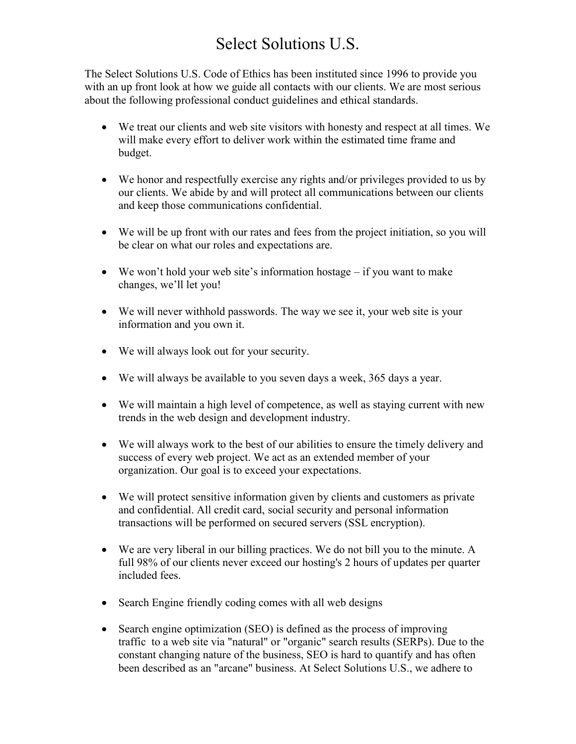## Select Solutions U.S.

The Select Solutions U.S. Code of Ethics has been instituted since 1996 to provide you with an up front look at how we guide all contacts with our clients. We are most serious about the following professional conduct guidelines and ethical standards.

- We treat our clients and web site visitors with honesty and respect at all times. We will make every effort to deliver work within the estimated time frame and budget.
- We honor and respectfully exercise any rights and/or privileges provided to us by our clients. We abide by and will protect all communications between our clients and keep those communications confidential.
- We will be up front with our rates and fees from the project initiation, so you will be clear on what our roles and expectations are.
- We won't hold your web site's information hostage if you want to make changes, we'll let you!
- We will never withhold passwords. The way we see it, your web site is your information and you own it.
- We will always look out for your security.
- We will always be available to you seven days a week, 365 days a year.
- We will maintain a high level of competence, as well as staying current with new trends in the web design and development industry.
- We will always work to the best of our abilities to ensure the timely delivery and success of every web project. We act as an extended member of your organization. Our goal is to exceed your expectations.
- We will protect sensitive information given by clients and customers as private and confidential. All credit card, social security and personal information transactions will be performed on secured servers (SSL encryption).
- We are very liberal in our billing practices. We do not bill you to the minute. A full 98% of our clients never exceed our hosting's 2 hours of updates per quarter included fees.
- Search Engine friendly coding comes with all web designs
- Search engine optimization (SEO) is defined as the process of improving traffic to a web site via "natural" or "organic" search results (SERPs). Due to the constant changing nature of the business, SEO is hard to quantify and has often been described as an "arcane" business. At Select Solutions U.S., we adhere to